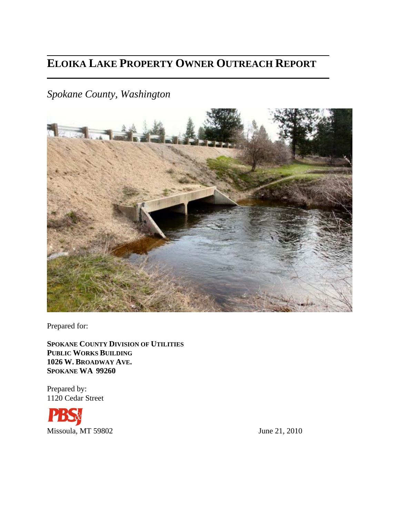# **ELOIKA LAKE PROPERTY OWNER OUTREACH REPORT**

*Spokane County, Washington* 



Prepared for:

**SPOKANE COUNTY DIVISION OF UTILITIES PUBLIC WORKS BUILDING 1026 W. BROADWAY AVE. SPOKANE WA 99260**

Prepared by: 1120 Cedar Street

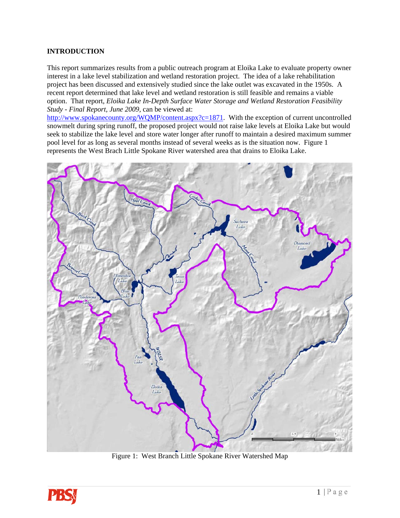# **INTRODUCTION**

This report summarizes results from a public outreach program at Eloika Lake to evaluate property owner interest in a lake level stabilization and wetland restoration project. The idea of a lake rehabilitation project has been discussed and extensively studied since the lake outlet was excavated in the 1950s. A recent report determined that lake level and wetland restoration is still feasible and remains a viable option. That report, *Eloika Lake In-Depth Surface Water Storage and Wetland Restoration Feasibility Study - Final Report, June 2009,* can be viewed at:

[http://www.spokanecounty.org/WQMP/content.aspx?c=1871.](http://www.spokanecounty.org/WQMP/content.aspx?c=1871) With the exception of current uncontrolled snowmelt during spring runoff, the proposed project would not raise lake levels at Eloika Lake but would seek to stabilize the lake level and store water longer after runoff to maintain a desired maximum summer pool level for as long as several months instead of several weeks as is the situation now. Figure 1 represents the West Brach Little Spokane River watershed area that drains to Eloika Lake.



Figure 1: West Branch Little Spokane River Watershed Map

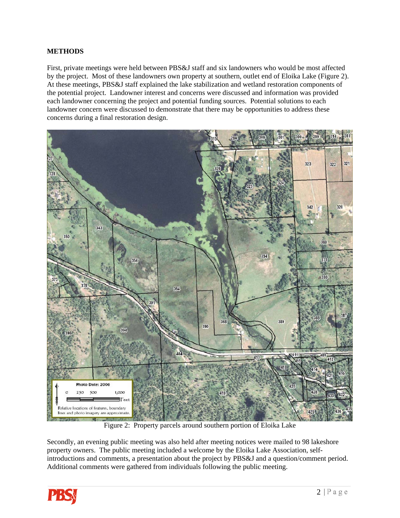## **METHODS**

First, private meetings were held between PBS&J staff and six landowners who would be most affected by the project. Most of these landowners own property at southern, outlet end of Eloika Lake (Figure 2). At these meetings, PBS&J staff explained the lake stabilization and wetland restoration components of the potential project. Landowner interest and concerns were discussed and information was provided each landowner concerning the project and potential funding sources. Potential solutions to each landowner concern were discussed to demonstrate that there may be opportunities to address these concerns during a final restoration design.



Figure 2: Property parcels around southern portion of Eloika Lake

Secondly, an evening public meeting was also held after meeting notices were mailed to 98 lakeshore property owners. The public meeting included a welcome by the Eloika Lake Association, selfintroductions and comments, a presentation about the project by PBS&J and a question/comment period. Additional comments were gathered from individuals following the public meeting.

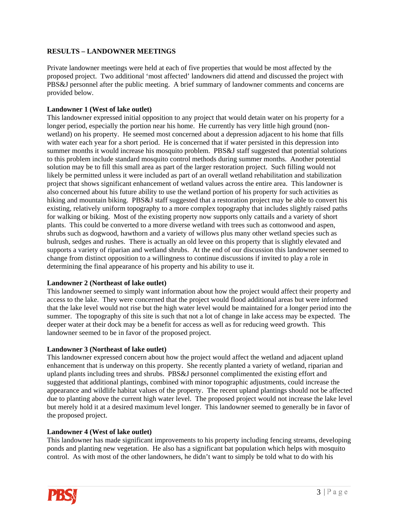## **RESULTS – LANDOWNER MEETINGS**

Private landowner meetings were held at each of five properties that would be most affected by the proposed project. Two additional 'most affected' landowners did attend and discussed the project with PBS&J personnel after the public meeting. A brief summary of landowner comments and concerns are provided below.

#### **Landowner 1 (West of lake outlet)**

This landowner expressed initial opposition to any project that would detain water on his property for a longer period, especially the portion near his home. He currently has very little high ground (nonwetland) on his property. He seemed most concerned about a depression adjacent to his home that fills with water each year for a short period. He is concerned that if water persisted in this depression into summer months it would increase his mosquito problem. PBS&J staff suggested that potential solutions to this problem include standard mosquito control methods during summer months. Another potential solution may be to fill this small area as part of the larger restoration project. Such filling would not likely be permitted unless it were included as part of an overall wetland rehabilitation and stabilization project that shows significant enhancement of wetland values across the entire area. This landowner is also concerned about his future ability to use the wetland portion of his property for such activities as hiking and mountain biking. PBS&J staff suggested that a restoration project may be able to convert his existing, relatively uniform topography to a more complex topography that includes slightly raised paths for walking or biking. Most of the existing property now supports only cattails and a variety of short plants. This could be converted to a more diverse wetland with trees such as cottonwood and aspen, shrubs such as dogwood, hawthorn and a variety of willows plus many other wetland species such as bulrush, sedges and rushes. There is actually an old levee on this property that is slightly elevated and supports a variety of riparian and wetland shrubs. At the end of our discussion this landowner seemed to change from distinct opposition to a willingness to continue discussions if invited to play a role in determining the final appearance of his property and his ability to use it.

#### **Landowner 2 (Northeast of lake outlet)**

This landowner seemed to simply want information about how the project would affect their property and access to the lake. They were concerned that the project would flood additional areas but were informed that the lake level would not rise but the high water level would be maintained for a longer period into the summer. The topography of this site is such that not a lot of change in lake access may be expected. The deeper water at their dock may be a benefit for access as well as for reducing weed growth. This landowner seemed to be in favor of the proposed project.

#### **Landowner 3 (Northeast of lake outlet)**

This landowner expressed concern about how the project would affect the wetland and adjacent upland enhancement that is underway on this property. She recently planted a variety of wetland, riparian and upland plants including trees and shrubs. PBS&J personnel complimented the existing effort and suggested that additional plantings, combined with minor topographic adjustments, could increase the appearance and wildlife habitat values of the property. The recent upland plantings should not be affected due to planting above the current high water level. The proposed project would not increase the lake level but merely hold it at a desired maximum level longer. This landowner seemed to generally be in favor of the proposed project.

#### **Landowner 4 (West of lake outlet)**

This landowner has made significant improvements to his property including fencing streams, developing ponds and planting new vegetation. He also has a significant bat population which helps with mosquito control. As with most of the other landowners, he didn't want to simply be told what to do with his

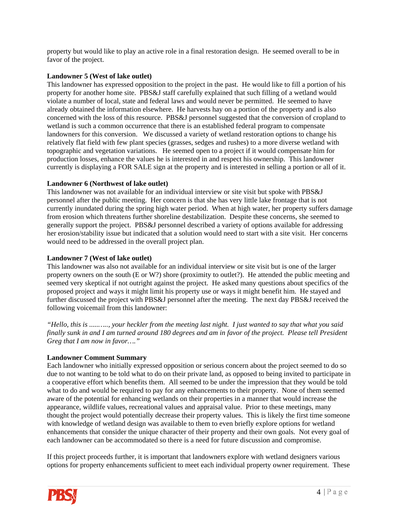property but would like to play an active role in a final restoration design. He seemed overall to be in favor of the project.

#### **Landowner 5 (West of lake outlet)**

This landowner has expressed opposition to the project in the past. He would like to fill a portion of his property for another home site. PBS&J staff carefully explained that such filling of a wetland would violate a number of local, state and federal laws and would never be permitted. He seemed to have already obtained the information elsewhere. He harvests hay on a portion of the property and is also concerned with the loss of this resource. PBS&J personnel suggested that the conversion of cropland to wetland is such a common occurrence that there is an established federal program to compensate landowners for this conversion. We discussed a variety of wetland restoration options to change his relatively flat field with few plant species (grasses, sedges and rushes) to a more diverse wetland with topographic and vegetation variations. He seemed open to a project if it would compensate him for production losses, enhance the values he is interested in and respect his ownership. This landowner currently is displaying a FOR SALE sign at the property and is interested in selling a portion or all of it.

## **Landowner 6 (Northwest of lake outlet)**

This landowner was not available for an individual interview or site visit but spoke with PBS&J personnel after the public meeting. Her concern is that she has very little lake frontage that is not currently inundated during the spring high water period. When at high water, her property suffers damage from erosion which threatens further shoreline destabilization. Despite these concerns, she seemed to generally support the project. PBS&J personnel described a variety of options available for addressing her erosion/stability issue but indicated that a solution would need to start with a site visit. Her concerns would need to be addressed in the overall project plan.

## **Landowner 7 (West of lake outlet)**

This landowner was also not available for an individual interview or site visit but is one of the larger property owners on the south (E or W?) shore (proximity to outlet?). He attended the public meeting and seemed very skeptical if not outright against the project. He asked many questions about specifics of the proposed project and ways it might limit his property use or ways it might benefit him. He stayed and further discussed the project with PBS&J personnel after the meeting. The next day PBS&J received the following voicemail from this landowner:

*"Hello, this is .....….., your heckler from the meeting last night. I just wanted to say that what you said finally sunk in and I am turned around 180 degrees and am in favor of the project. Please tell President Greg that I am now in favor…."* 

#### **Landowner Comment Summary**

Each landowner who initially expressed opposition or serious concern about the project seemed to do so due to not wanting to be told what to do on their private land, as opposed to being invited to participate in a cooperative effort which benefits them. All seemed to be under the impression that they would be told what to do and would be required to pay for any enhancements to their property. None of them seemed aware of the potential for enhancing wetlands on their properties in a manner that would increase the appearance, wildlife values, recreational values and appraisal value. Prior to these meetings, many thought the project would potentially decrease their property values. This is likely the first time someone with knowledge of wetland design was available to them to even briefly explore options for wetland enhancements that consider the unique character of their property and their own goals. Not every goal of each landowner can be accommodated so there is a need for future discussion and compromise.

If this project proceeds further, it is important that landowners explore with wetland designers various options for property enhancements sufficient to meet each individual property owner requirement. These

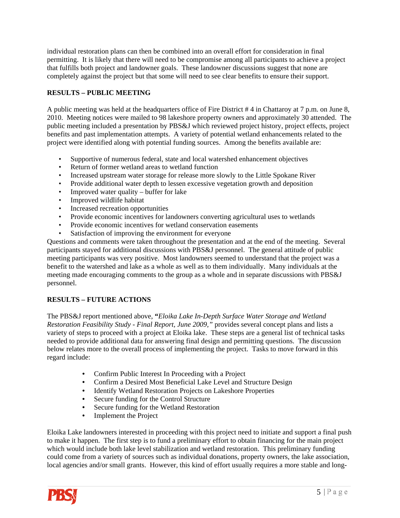individual restoration plans can then be combined into an overall effort for consideration in final permitting. It is likely that there will need to be compromise among all participants to achieve a project that fulfills both project and landowner goals. These landowner discussions suggest that none are completely against the project but that some will need to see clear benefits to ensure their support.

# **RESULTS – PUBLIC MEETING**

A public meeting was held at the headquarters office of Fire District # 4 in Chattaroy at 7 p.m. on June 8, 2010. Meeting notices were mailed to 98 lakeshore property owners and approximately 30 attended. The public meeting included a presentation by PBS&J which reviewed project history, project effects, project benefits and past implementation attempts. A variety of potential wetland enhancements related to the project were identified along with potential funding sources. Among the benefits available are:

- Supportive of numerous federal, state and local watershed enhancement objectives
- Return of former wetland areas to wetland function
- Increased upstream water storage for release more slowly to the Little Spokane River
- Provide additional water depth to lessen excessive vegetation growth and deposition
- Improved water quality buffer for lake
- Improved wildlife habitat
- Increased recreation opportunities
- Provide economic incentives for landowners converting agricultural uses to wetlands
- Provide economic incentives for wetland conservation easements
- Satisfaction of improving the environment for everyone

Questions and comments were taken throughout the presentation and at the end of the meeting. Several participants stayed for additional discussions with PBS&J personnel. The general attitude of public meeting participants was very positive. Most landowners seemed to understand that the project was a benefit to the watershed and lake as a whole as well as to them individually. Many individuals at the meeting made encouraging comments to the group as a whole and in separate discussions with PBS&J personnel.

# **RESULTS – FUTURE ACTIONS**

The PBS&J report mentioned above, **"***Eloika Lake In-Depth Surface Water Storage and Wetland Restoration Feasibility Study - Final Report, June 2009,"* provides several concept plans and lists a variety of steps to proceed with a project at Eloika lake. These steps are a general list of technical tasks needed to provide additional data for answering final design and permitting questions. The discussion below relates more to the overall process of implementing the project. Tasks to move forward in this regard include:

- Confirm Public Interest In Proceeding with a Project
- Confirm a Desired Most Beneficial Lake Level and Structure Design<br>• Identify Wetland Restoration Projects on Lakeshore Properties
- Identify Wetland Restoration Projects on Lakeshore Properties
- Secure funding for the Control Structure
- Secure funding for the Wetland Restoration
- Implement the Project

Eloika Lake landowners interested in proceeding with this project need to initiate and support a final push to make it happen. The first step is to fund a preliminary effort to obtain financing for the main project which would include both lake level stabilization and wetland restoration. This preliminary funding could come from a variety of sources such as individual donations, property owners, the lake association, local agencies and/or small grants. However, this kind of effort usually requires a more stable and long-